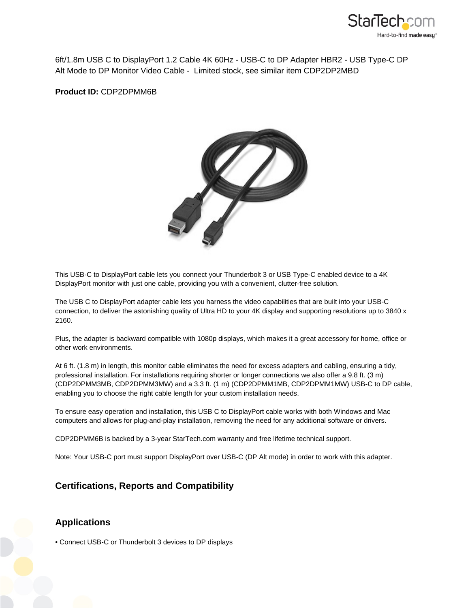

6ft/1.8m USB C to DisplayPort 1.2 Cable 4K 60Hz - USB-C to DP Adapter HBR2 - USB Type-C DP Alt Mode to DP Monitor Video Cable - Limited stock, see similar item CDP2DP2MBD

**Product ID:** CDP2DPMM6B



This USB-C to DisplayPort cable lets you connect your Thunderbolt 3 or USB Type-C enabled device to a 4K DisplayPort monitor with just one cable, providing you with a convenient, clutter-free solution.

The USB C to DisplayPort adapter cable lets you harness the video capabilities that are built into your USB-C connection, to deliver the astonishing quality of Ultra HD to your 4K display and supporting resolutions up to 3840 x 2160.

Plus, the adapter is backward compatible with 1080p displays, which makes it a great accessory for home, office or other work environments.

At 6 ft. (1.8 m) in length, this monitor cable eliminates the need for excess adapters and cabling, ensuring a tidy, professional installation. For installations requiring shorter or longer connections we also offer a 9.8 ft. (3 m) (CDP2DPMM3MB, CDP2DPMM3MW) and a 3.3 ft. (1 m) (CDP2DPMM1MB, CDP2DPMM1MW) USB-C to DP cable, enabling you to choose the right cable length for your custom installation needs.

To ensure easy operation and installation, this USB C to DisplayPort cable works with both Windows and Mac computers and allows for plug-and-play installation, removing the need for any additional software or drivers.

CDP2DPMM6B is backed by a 3-year StarTech.com warranty and free lifetime technical support.

Note: Your USB-C port must support DisplayPort over USB-C (DP Alt mode) in order to work with this adapter.

## **Certifications, Reports and Compatibility**

## **Applications**

• Connect USB-C or Thunderbolt 3 devices to DP displays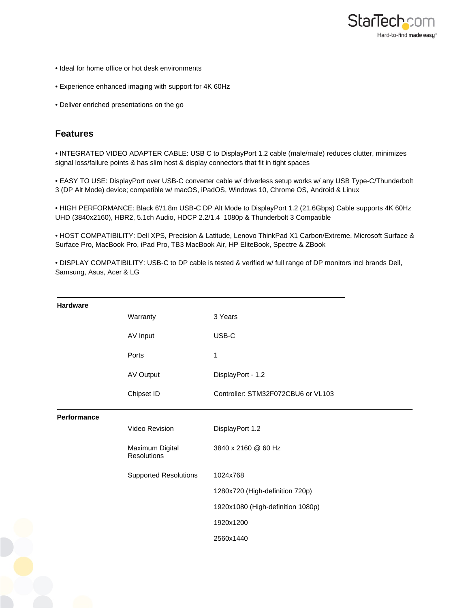

- Ideal for home office or hot desk environments
- Experience enhanced imaging with support for 4K 60Hz
- Deliver enriched presentations on the go

## **Features**

• INTEGRATED VIDEO ADAPTER CABLE: USB C to DisplayPort 1.2 cable (male/male) reduces clutter, minimizes signal loss/failure points & has slim host & display connectors that fit in tight spaces

• EASY TO USE: DisplayPort over USB-C converter cable w/ driverless setup works w/ any USB Type-C/Thunderbolt 3 (DP Alt Mode) device; compatible w/ macOS, iPadOS, Windows 10, Chrome OS, Android & Linux

• HIGH PERFORMANCE: Black 6'/1.8m USB-C DP Alt Mode to DisplayPort 1.2 (21.6Gbps) Cable supports 4K 60Hz UHD (3840x2160), HBR2, 5.1ch Audio, HDCP 2.2/1.4 1080p & Thunderbolt 3 Compatible

• HOST COMPATIBILITY: Dell XPS, Precision & Latitude, Lenovo ThinkPad X1 Carbon/Extreme, Microsoft Surface & Surface Pro, MacBook Pro, iPad Pro, TB3 MacBook Air, HP EliteBook, Spectre & ZBook

• DISPLAY COMPATIBILITY: USB-C to DP cable is tested & verified w/ full range of DP monitors incl brands Dell, Samsung, Asus, Acer & LG

| Hardware    |                                |                                    |
|-------------|--------------------------------|------------------------------------|
|             | Warranty                       | 3 Years                            |
|             | AV Input                       | USB-C                              |
|             | Ports                          | 1                                  |
|             | AV Output                      | DisplayPort - 1.2                  |
|             | Chipset ID                     | Controller: STM32F072CBU6 or VL103 |
| Performance |                                |                                    |
|             | Video Revision                 | DisplayPort 1.2                    |
|             | Maximum Digital<br>Resolutions | 3840 x 2160 @ 60 Hz                |
|             | <b>Supported Resolutions</b>   | 1024x768                           |
|             |                                | 1280x720 (High-definition 720p)    |
|             |                                | 1920x1080 (High-definition 1080p)  |
|             |                                | 1920x1200                          |
|             |                                | 2560x1440                          |
|             |                                |                                    |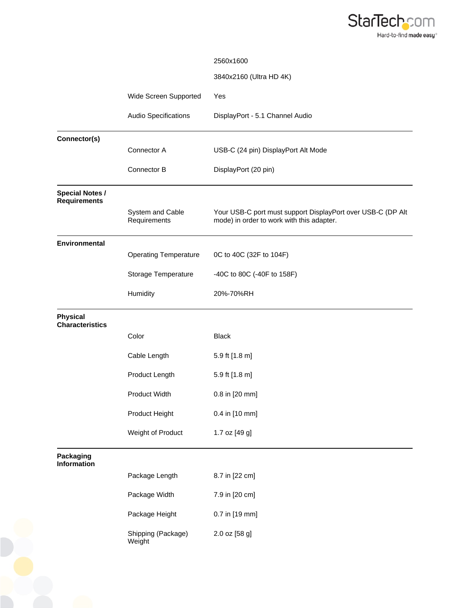

|                                  | 2560x1600                                                                                                |
|----------------------------------|----------------------------------------------------------------------------------------------------------|
|                                  | 3840x2160 (Ultra HD 4K)                                                                                  |
| Wide Screen Supported            | Yes                                                                                                      |
| Audio Specifications             | DisplayPort - 5.1 Channel Audio                                                                          |
|                                  |                                                                                                          |
|                                  | USB-C (24 pin) DisplayPort Alt Mode                                                                      |
| Connector B                      | DisplayPort (20 pin)                                                                                     |
|                                  |                                                                                                          |
| System and Cable<br>Requirements | Your USB-C port must support DisplayPort over USB-C (DP Alt<br>mode) in order to work with this adapter. |
|                                  |                                                                                                          |
| <b>Operating Temperature</b>     | 0C to 40C (32F to 104F)                                                                                  |
| Storage Temperature              | -40C to 80C (-40F to 158F)                                                                               |
| Humidity                         | 20%-70%RH                                                                                                |
|                                  |                                                                                                          |
| Color                            | <b>Black</b>                                                                                             |
| Cable Length                     | 5.9 ft [1.8 m]                                                                                           |
| Product Length                   | 5.9 ft [1.8 m]                                                                                           |
| Product Width                    | 0.8 in [20 mm]                                                                                           |
| Product Height                   | 0.4 in [10 mm]                                                                                           |
| Weight of Product                | 1.7 oz [49 g]                                                                                            |
|                                  |                                                                                                          |
| Package Length                   | 8.7 in [22 cm]                                                                                           |
| Package Width                    | 7.9 in [20 cm]                                                                                           |
| Package Height                   | 0.7 in [19 mm]                                                                                           |
| Shipping (Package)<br>Weight     | 2.0 oz [58 g]                                                                                            |
|                                  | Connector A                                                                                              |